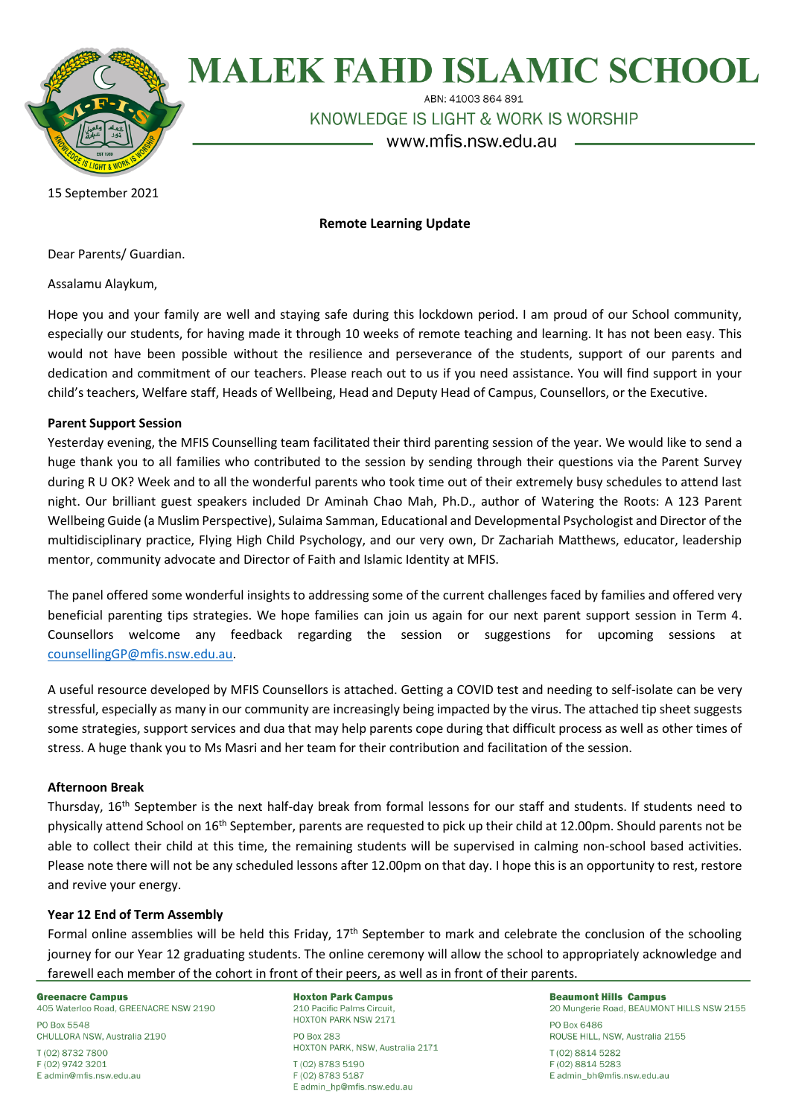

# **MALEK FAHD ISLAMIC SCHOOL**

ABN: 41003 864 891

KNOWLEDGE IS LIGHT & WORK IS WORSHIP

www.mfis.nsw.edu.au

15 September 2021

## **Remote Learning Update**

Dear Parents/ Guardian.

Assalamu Alaykum,

Hope you and your family are well and staying safe during this lockdown period. I am proud of our School community, especially our students, for having made it through 10 weeks of remote teaching and learning. It has not been easy. This would not have been possible without the resilience and perseverance of the students, support of our parents and dedication and commitment of our teachers. Please reach out to us if you need assistance. You will find support in your child's teachers, Welfare staff, Heads of Wellbeing, Head and Deputy Head of Campus, Counsellors, or the Executive.

#### **Parent Support Session**

Yesterday evening, the MFIS Counselling team facilitated their third parenting session of the year. We would like to send a huge thank you to all families who contributed to the session by sending through their questions via the Parent Survey during R U OK? Week and to all the wonderful parents who took time out of their extremely busy schedules to attend last night. Our brilliant guest speakers included Dr Aminah Chao Mah, Ph.D., author of Watering the Roots: A 123 Parent Wellbeing Guide (a Muslim Perspective), Sulaima Samman, Educational and Developmental Psychologist and Director of the multidisciplinary practice, Flying High Child Psychology, and our very own, Dr Zachariah Matthews, educator, leadership mentor, community advocate and Director of Faith and Islamic Identity at MFIS.

The panel offered some wonderful insights to addressing some of the current challenges faced by families and offered very beneficial parenting tips strategies. We hope families can join us again for our next parent support session in Term 4. Counsellors welcome any feedback regarding the session or suggestions for upcoming sessions at [counsellingGP@mfis.nsw.edu.au.](mailto:counsellingGP@mfis.nsw.edu.au)

A useful resource developed by MFIS Counsellors is attached. Getting a COVID test and needing to self-isolate can be very stressful, especially as many in our community are increasingly being impacted by the virus. The attached tip sheet suggests some strategies, support services and dua that may help parents cope during that difficult process as well as other times of stress. A huge thank you to Ms Masri and her team for their contribution and facilitation of the session.

#### **Afternoon Break**

Thursday, 16th September is the next half-day break from formal lessons for our staff and students. If students need to physically attend School on 16th September, parents are requested to pick up their child at 12.00pm. Should parents not be able to collect their child at this time, the remaining students will be supervised in calming non-school based activities. Please note there will not be any scheduled lessons after 12.00pm on that day. I hope this is an opportunity to rest, restore and revive your energy.

### **Year 12 End of Term Assembly**

Formal online assemblies will be held this Friday, 17<sup>th</sup> September to mark and celebrate the conclusion of the schooling journey for our Year 12 graduating students. The online ceremony will allow the school to appropriately acknowledge and farewell each member of the cohort in front of their peers, as well as in front of their parents.

**Greenacre Campus** 

405 Waterloo Road, GREENACRE NSW 2190

PO Box 5548 CHULLORA NSW, Australia 2190

T (02) 8732 7800 F (02) 9742 3201 E admin@mfis.nsw.edu.au **Hoxton Park Campus** 210 Pacific Palms Circuit. HOXTON PARK NSW 2171

PO Box 283 HOXTON PARK, NSW, Australia 2171 T (02) 8783 5190

F (02) 8783 5187 E admin hp@mfis.nsw.edu.au **Beaumont Hills Campus** 20 Mungerie Road, BEAUMONT HILLS NSW 2155 PO Box 6486 ROUSE HILL, NSW, Australia 2155 T (02) 8814 5282 F (02) 8814 5283 E admin\_bh@mfis.nsw.edu.au